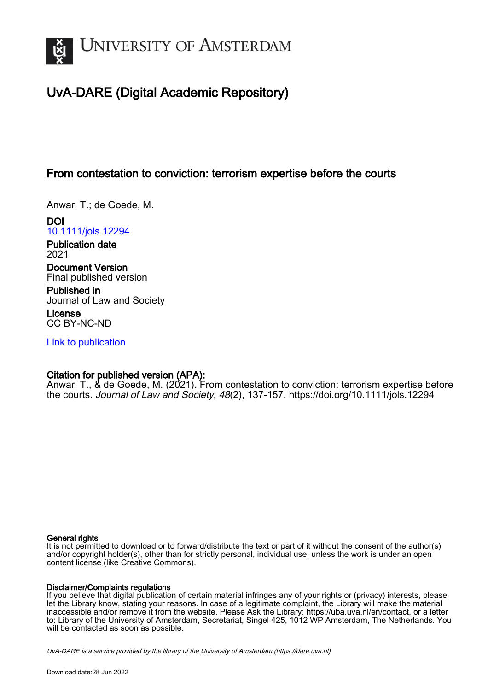

# UvA-DARE (Digital Academic Repository)

# From contestation to conviction: terrorism expertise before the courts

Anwar, T.; de Goede, M.

DOI [10.1111/jols.12294](https://doi.org/10.1111/jols.12294)

Publication date 2021

Document Version Final published version

Published in Journal of Law and Society

License CC BY-NC-ND

[Link to publication](https://dare.uva.nl/personal/pure/en/publications/from-contestation-to-conviction-terrorism-expertise-before-the-courts(1b40121d-4bec-4aa6-bccd-60c14b1ee494).html)

# Citation for published version (APA):

Anwar, T., & de Goede, M. (2021). From contestation to conviction: terrorism expertise before the courts. Journal of Law and Society, 48(2), 137-157.<https://doi.org/10.1111/jols.12294>

#### General rights

It is not permitted to download or to forward/distribute the text or part of it without the consent of the author(s) and/or copyright holder(s), other than for strictly personal, individual use, unless the work is under an open content license (like Creative Commons).

#### Disclaimer/Complaints regulations

If you believe that digital publication of certain material infringes any of your rights or (privacy) interests, please let the Library know, stating your reasons. In case of a legitimate complaint, the Library will make the material inaccessible and/or remove it from the website. Please Ask the Library: https://uba.uva.nl/en/contact, or a letter to: Library of the University of Amsterdam, Secretariat, Singel 425, 1012 WP Amsterdam, The Netherlands. You will be contacted as soon as possible.

UvA-DARE is a service provided by the library of the University of Amsterdam (http*s*://dare.uva.nl)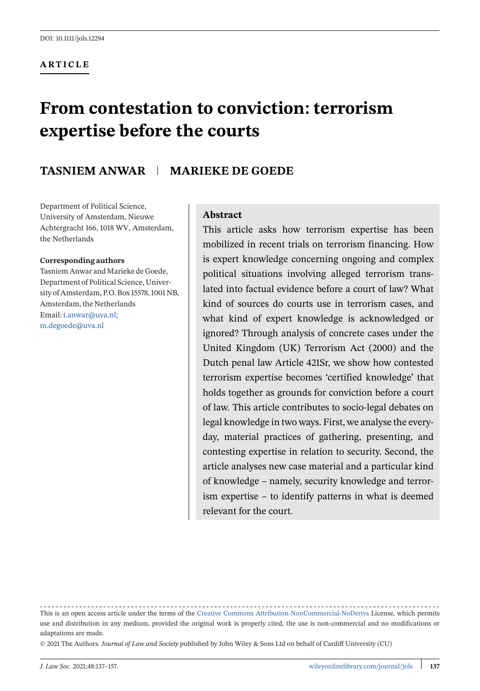#### **ARTICLE**

# **From contestation to conviction: terrorism expertise before the courts**

# **TASNIEM ANWAR | MARIEKE DE GOEDE**

Department of Political Science, University of Amsterdam, Nieuwe Achtergracht 166, 1018 WV, Amsterdam, the Netherlands

#### **Corresponding authors**

Tasniem Anwar and Marieke de Goede, Department of Political Science, University of Amsterdam, P.O. Box 15578, 1001 NB, Amsterdam, the Netherlands Email:[t.anwar@uva.nl;](mailto:t.anwar@uva.nl) [m.degoede@uva.nl](mailto:m.degoede@uva.nl)

#### **Abstract**

This article asks how terrorism expertise has been mobilized in recent trials on terrorism financing. How is expert knowledge concerning ongoing and complex political situations involving alleged terrorism translated into factual evidence before a court of law? What kind of sources do courts use in terrorism cases, and what kind of expert knowledge is acknowledged or ignored? Through analysis of concrete cases under the United Kingdom (UK) Terrorism Act (2000) and the Dutch penal law Article 421Sr, we show how contested terrorism expertise becomes 'certified knowledge' that holds together as grounds for conviction before a court of law. This article contributes to socio-legal debates on legal knowledge in two ways. First, we analyse the everyday, material practices of gathering, presenting, and contesting expertise in relation to security. Second, the article analyses new case material and a particular kind of knowledge – namely, security knowledge and terrorism expertise – to identify patterns in what is deemed relevant for the court.

<sup>-----------------------------------</sup>This is an open access article under the terms of the [Creative Commons Attribution-NonCommercial-NoDerivs](http://creativecommons.org/licenses/by-nc-nd/4.0/) License, which permits use and distribution in any medium, provided the original work is properly cited, the use is non-commercial and no modifications or adaptations are made.

<sup>© 2021</sup> The Authors. *Journal of Law and Society* published by John Wiley & Sons Ltd on behalf of Cardiff University (CU)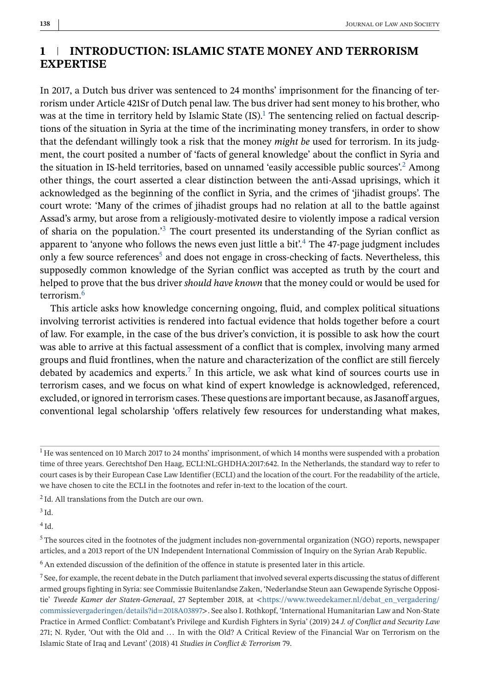# **1 INTRODUCTION: ISLAMIC STATE MONEY AND TERRORISM EXPERTISE**

In 2017, a Dutch bus driver was sentenced to 24 months' imprisonment for the financing of terrorism under Article 421Sr of Dutch penal law. The bus driver had sent money to his brother, who was at the time in territory held by Islamic State (IS).<sup>1</sup> The sentencing relied on factual descriptions of the situation in Syria at the time of the incriminating money transfers, in order to show that the defendant willingly took a risk that the money *might be* used for terrorism. In its judgment, the court posited a number of 'facts of general knowledge' about the conflict in Syria and the situation in IS-held territories, based on unnamed 'easily accessible public sources'.2 Among other things, the court asserted a clear distinction between the anti-Assad uprisings, which it acknowledged as the beginning of the conflict in Syria, and the crimes of 'jihadist groups'. The court wrote: 'Many of the crimes of jihadist groups had no relation at all to the battle against Assad's army, but arose from a religiously-motivated desire to violently impose a radical version of sharia on the population.'<sup>3</sup> The court presented its understanding of the Syrian conflict as apparent to 'anyone who follows the news even just little a bit'.4 The 47-page judgment includes only a few source references<sup>5</sup> and does not engage in cross-checking of facts. Nevertheless, this supposedly common knowledge of the Syrian conflict was accepted as truth by the court and helped to prove that the bus driver *should have known* that the money could or would be used for terrorism.6

This article asks how knowledge concerning ongoing, fluid, and complex political situations involving terrorist activities is rendered into factual evidence that holds together before a court of law. For example, in the case of the bus driver's conviction, it is possible to ask how the court was able to arrive at this factual assessment of a conflict that is complex, involving many armed groups and fluid frontlines, when the nature and characterization of the conflict are still fiercely debated by academics and experts.<sup>7</sup> In this article, we ask what kind of sources courts use in terrorism cases, and we focus on what kind of expert knowledge is acknowledged, referenced, excluded, or ignored in terrorism cases. These questions are important because, as Jasanoff argues, conventional legal scholarship 'offers relatively few resources for understanding what makes,

<sup>2</sup> Id. All translations from the Dutch are our own.

<sup>3</sup> Id.

 $4$  Id.

<sup>1</sup> He was sentenced on 10 March 2017 to 24 months' imprisonment, of which 14 months were suspended with a probation time of three years. Gerechtshof Den Haag, ECLI:NL:GHDHA:2017:642. In the Netherlands, the standard way to refer to court cases is by their European Case Law Identifier (ECLI) and the location of the court. For the readability of the article, we have chosen to cite the ECLI in the footnotes and refer in-text to the location of the court.

<sup>5</sup> The sources cited in the footnotes of the judgment includes non-governmental organization (NGO) reports, newspaper articles, and a 2013 report of the UN Independent International Commission of Inquiry on the Syrian Arab Republic.

<sup>6</sup> An extended discussion of the definition of the offence in statute is presented later in this article.

<sup>7</sup> See, for example, the recent debate in the Dutch parliament that involved several experts discussing the status of different armed groups fighting in Syria: see Commissie Buitenlandse Zaken, 'Nederlandse Steun aan Gewapende Syrische Oppositie' *Tweede Kamer der Staten-Generaal*, 27 September 2018, at <[https://www.tweedekamer.nl/debat\\_en\\_vergadering/](https://www.tweedekamer.nl/debat_en_vergadering/commissievergaderingen/details?id=2018A03897) [commissievergaderingen/details?id=2018A03897](https://www.tweedekamer.nl/debat_en_vergadering/commissievergaderingen/details?id=2018A03897)>. See also I. Rothkopf, 'International Humanitarian Law and Non-State Practice in Armed Conflict: Combatant's Privilege and Kurdish Fighters in Syria' (2019) 24 *J. of Conflict and Security Law* 271; N. Ryder, 'Out with the Old and ... In with the Old? A Critical Review of the Financial War on Terrorism on the Islamic State of Iraq and Levant' (2018) 41 *Studies in Conflict & Terrorism* 79.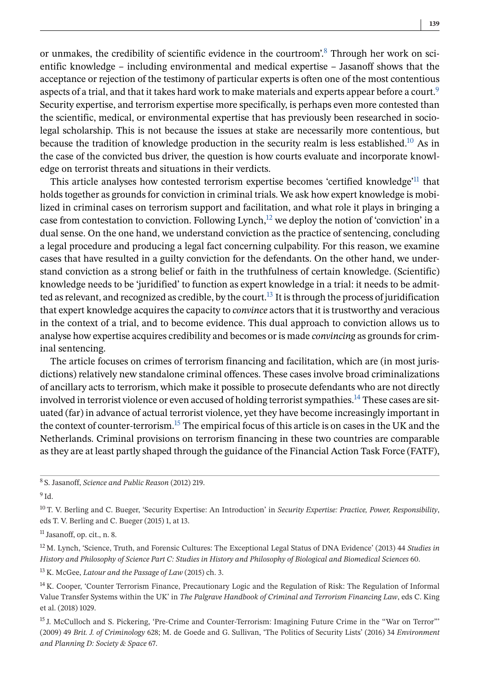or unmakes, the credibility of scientific evidence in the courtroom'.<sup>8</sup> Through her work on scientific knowledge – including environmental and medical expertise – Jasanoff shows that the acceptance or rejection of the testimony of particular experts is often one of the most contentious aspects of a trial, and that it takes hard work to make materials and experts appear before a court.<sup>9</sup> Security expertise, and terrorism expertise more specifically, is perhaps even more contested than the scientific, medical, or environmental expertise that has previously been researched in sociolegal scholarship. This is not because the issues at stake are necessarily more contentious, but because the tradition of knowledge production in the security realm is less established.<sup>10</sup> As in the case of the convicted bus driver, the question is how courts evaluate and incorporate knowledge on terrorist threats and situations in their verdicts.

This article analyses how contested terrorism expertise becomes 'certified knowledge'11 that holds together as grounds for conviction in criminal trials. We ask how expert knowledge is mobilized in criminal cases on terrorism support and facilitation, and what role it plays in bringing a case from contestation to conviction. Following Lynch, $^{12}$  we deploy the notion of 'conviction' in a dual sense. On the one hand, we understand conviction as the practice of sentencing, concluding a legal procedure and producing a legal fact concerning culpability. For this reason, we examine cases that have resulted in a guilty conviction for the defendants. On the other hand, we understand conviction as a strong belief or faith in the truthfulness of certain knowledge. (Scientific) knowledge needs to be 'juridified' to function as expert knowledge in a trial: it needs to be admitted as relevant, and recognized as credible, by the court.<sup>13</sup> It is through the process of juridification that expert knowledge acquires the capacity to *convince* actors that it is trustworthy and veracious in the context of a trial, and to become evidence. This dual approach to conviction allows us to analyse how expertise acquires credibility and becomes or is made *convincing* as grounds for criminal sentencing.

The article focuses on crimes of terrorism financing and facilitation, which are (in most jurisdictions) relatively new standalone criminal offences. These cases involve broad criminalizations of ancillary acts to terrorism, which make it possible to prosecute defendants who are not directly involved in terrorist violence or even accused of holding terrorist sympathies.<sup>14</sup> These cases are situated (far) in advance of actual terrorist violence, yet they have become increasingly important in the context of counter-terrorism.<sup>15</sup> The empirical focus of this article is on cases in the UK and the Netherlands. Criminal provisions on terrorism financing in these two countries are comparable as they are at least partly shaped through the guidance of the Financial Action Task Force (FATF),

<sup>9</sup> Id.

<sup>13</sup> K. McGee, *Latour and the Passage of Law* (2015) ch. 3.

<sup>8</sup> S. Jasanoff, *Science and Public Reason* (2012) 219.

<sup>10</sup> T. V. Berling and C. Bueger, 'Security Expertise: An Introduction' in *Security Expertise: Practice, Power, Responsibility*, eds T. V. Berling and C. Bueger (2015) 1, at 13.

 $<sup>11</sup>$  Jasanoff, op. cit., n. 8.</sup>

<sup>12</sup> M. Lynch, 'Science, Truth, and Forensic Cultures: The Exceptional Legal Status of DNA Evidence' (2013) 44 *Studies in History and Philosophy of Science Part C: Studies in History and Philosophy of Biological and Biomedical Sciences* 60.

<sup>&</sup>lt;sup>14</sup> K. Cooper, 'Counter Terrorism Finance, Precautionary Logic and the Regulation of Risk: The Regulation of Informal Value Transfer Systems within the UK' in *The Palgrave Handbook of Criminal and Terrorism Financing Law*, eds C. King et al. (2018) 1029.

<sup>&</sup>lt;sup>15</sup> J. McCulloch and S. Pickering, 'Pre-Crime and Counter-Terrorism: Imagining Future Crime in the "War on Terror"' (2009) 49 *Brit. J. of Criminology* 628; M. de Goede and G. Sullivan, 'The Politics of Security Lists' (2016) 34 *Environment and Planning D: Society & Space* 67.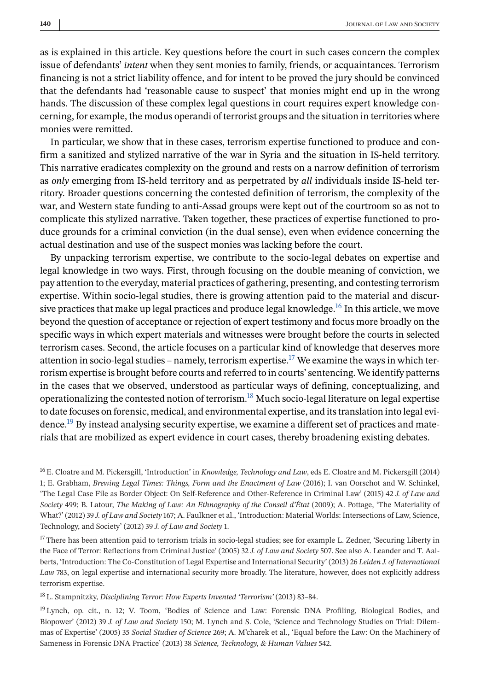as is explained in this article. Key questions before the court in such cases concern the complex issue of defendants' *intent* when they sent monies to family, friends, or acquaintances. Terrorism financing is not a strict liability offence, and for intent to be proved the jury should be convinced that the defendants had 'reasonable cause to suspect' that monies might end up in the wrong hands. The discussion of these complex legal questions in court requires expert knowledge concerning, for example, the modus operandi of terrorist groups and the situation in territories where monies were remitted.

In particular, we show that in these cases, terrorism expertise functioned to produce and confirm a sanitized and stylized narrative of the war in Syria and the situation in IS-held territory. This narrative eradicates complexity on the ground and rests on a narrow definition of terrorism as *only* emerging from IS-held territory and as perpetrated by *all* individuals inside IS-held territory. Broader questions concerning the contested definition of terrorism, the complexity of the war, and Western state funding to anti-Assad groups were kept out of the courtroom so as not to complicate this stylized narrative. Taken together, these practices of expertise functioned to produce grounds for a criminal conviction (in the dual sense), even when evidence concerning the actual destination and use of the suspect monies was lacking before the court.

By unpacking terrorism expertise, we contribute to the socio-legal debates on expertise and legal knowledge in two ways. First, through focusing on the double meaning of conviction, we pay attention to the everyday, material practices of gathering, presenting, and contesting terrorism expertise. Within socio-legal studies, there is growing attention paid to the material and discursive practices that make up legal practices and produce legal knowledge.<sup>16</sup> In this article, we move beyond the question of acceptance or rejection of expert testimony and focus more broadly on the specific ways in which expert materials and witnesses were brought before the courts in selected terrorism cases. Second, the article focuses on a particular kind of knowledge that deserves more attention in socio-legal studies – namely, terrorism expertise.<sup>17</sup> We examine the ways in which terrorism expertise is brought before courts and referred to in courts' sentencing. We identify patterns in the cases that we observed, understood as particular ways of defining, conceptualizing, and operationalizing the contested notion of terrorism.<sup>18</sup> Much socio-legal literature on legal expertise to date focuses on forensic, medical, and environmental expertise, and its translation into legal evidence.<sup>19</sup> By instead analysing security expertise, we examine a different set of practices and materials that are mobilized as expert evidence in court cases, thereby broadening existing debates.

<sup>18</sup> L. Stampnitzky, *Disciplining Terror: How Experts Invented 'Terrorism'* (2013) 83–84.

<sup>16</sup> E. Cloatre and M. Pickersgill, 'Introduction' in *Knowledge, Technology and Law*, eds E. Cloatre and M. Pickersgill (2014) 1; E. Grabham, *Brewing Legal Times: Things, Form and the Enactment of Law* (2016); I. van Oorschot and W. Schinkel, 'The Legal Case File as Border Object: On Self-Reference and Other-Reference in Criminal Law' (2015) 42 *J. of Law and Society* 499; B. Latour, *The Making of Law: An Ethnography of the Conseil d'État* (2009); A. Pottage, 'The Materiality of What?' (2012) 39 *J. of Law and Society* 167; A. Faulkner et al., 'Introduction: Material Worlds: Intersections of Law, Science, Technology, and Society' (2012) 39 *J. of Law and Society* 1.

<sup>&</sup>lt;sup>17</sup> There has been attention paid to terrorism trials in socio-legal studies; see for example L. Zedner, 'Securing Liberty in the Face of Terror: Reflections from Criminal Justice' (2005) 32 *J. of Law and Society* 507. See also A. Leander and T. Aalberts, 'Introduction: The Co-Constitution of Legal Expertise and International Security' (2013) 26 *Leiden J. of International Law* 783, on legal expertise and international security more broadly. The literature, however, does not explicitly address terrorism expertise.

<sup>19</sup> Lynch, op. cit., n. 12; V. Toom, 'Bodies of Science and Law: Forensic DNA Profiling, Biological Bodies, and Biopower' (2012) 39 *J. of Law and Society* 150; M. Lynch and S. Cole, 'Science and Technology Studies on Trial: Dilemmas of Expertise' (2005) 35 *Social Studies of Science* 269; A. M'charek et al., 'Equal before the Law: On the Machinery of Sameness in Forensic DNA Practice' (2013) 38 *Science, Technology, & Human Values* 542.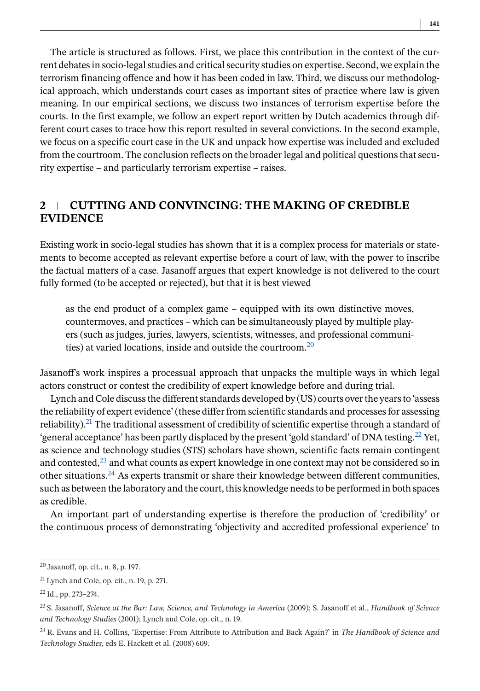The article is structured as follows. First, we place this contribution in the context of the current debates in socio-legal studies and critical security studies on expertise. Second, we explain the terrorism financing offence and how it has been coded in law. Third, we discuss our methodological approach, which understands court cases as important sites of practice where law is given meaning. In our empirical sections, we discuss two instances of terrorism expertise before the courts. In the first example, we follow an expert report written by Dutch academics through different court cases to trace how this report resulted in several convictions. In the second example, we focus on a specific court case in the UK and unpack how expertise was included and excluded from the courtroom. The conclusion reflects on the broader legal and political questions that security expertise – and particularly terrorism expertise – raises.

### **2 CUTTING AND CONVINCING: THE MAKING OF CREDIBLE EVIDENCE**

Existing work in socio-legal studies has shown that it is a complex process for materials or statements to become accepted as relevant expertise before a court of law, with the power to inscribe the factual matters of a case. Jasanoff argues that expert knowledge is not delivered to the court fully formed (to be accepted or rejected), but that it is best viewed

as the end product of a complex game – equipped with its own distinctive moves, countermoves, and practices – which can be simultaneously played by multiple players (such as judges, juries, lawyers, scientists, witnesses, and professional communities) at varied locations, inside and outside the courtroom.20

Jasanoff's work inspires a processual approach that unpacks the multiple ways in which legal actors construct or contest the credibility of expert knowledge before and during trial.

Lynch and Cole discuss the different standards developed by (US) courts over the years to 'assess the reliability of expert evidence' (these differ from scientific standards and processes for assessing reliability).<sup>21</sup> The traditional assessment of credibility of scientific expertise through a standard of 'general acceptance' has been partly displaced by the present 'gold standard' of DNA testing.22 Yet, as science and technology studies (STS) scholars have shown, scientific facts remain contingent and contested, $^{23}$  and what counts as expert knowledge in one context may not be considered so in other situations.24 As experts transmit or share their knowledge between different communities, such as between the laboratory and the court, this knowledge needs to be performed in both spaces as credible.

An important part of understanding expertise is therefore the production of 'credibility' or the continuous process of demonstrating 'objectivity and accredited professional experience' to

<sup>20</sup> Jasanoff, op. cit., n. 8, p. 197.

<sup>21</sup> Lynch and Cole, op. cit., n. 19, p. 271.

<sup>22</sup> Id., pp. 273–274.

<sup>23</sup> S. Jasanoff, *Science at the Bar: Law, Science, and Technology in America* (2009); S. Jasanoff et al., *Handbook of Science and Technology Studies* (2001); Lynch and Cole, op. cit., n. 19.

<sup>24</sup> R. Evans and H. Collins, 'Expertise: From Attribute to Attribution and Back Again?' in *The Handbook of Science and Technology Studies*, eds E. Hackett et al. (2008) 609.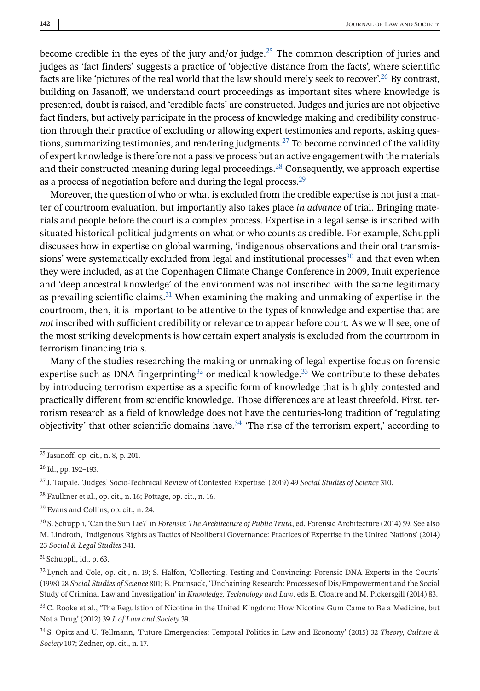become credible in the eyes of the jury and/or judge.<sup>25</sup> The common description of juries and judges as 'fact finders' suggests a practice of 'objective distance from the facts', where scientific facts are like 'pictures of the real world that the law should merely seek to recover'.<sup>26</sup> By contrast, building on Jasanoff, we understand court proceedings as important sites where knowledge is presented, doubt is raised, and 'credible facts' are constructed. Judges and juries are not objective fact finders, but actively participate in the process of knowledge making and credibility construction through their practice of excluding or allowing expert testimonies and reports, asking questions, summarizing testimonies, and rendering judgments.<sup>27</sup> To become convinced of the validity of expert knowledge is therefore not a passive process but an active engagement with the materials and their constructed meaning during legal proceedings.<sup>28</sup> Consequently, we approach expertise as a process of negotiation before and during the legal process.<sup>29</sup>

Moreover, the question of who or what is excluded from the credible expertise is not just a matter of courtroom evaluation, but importantly also takes place *in advance* of trial. Bringing materials and people before the court is a complex process. Expertise in a legal sense is inscribed with situated historical-political judgments on what or who counts as credible. For example, Schuppli discusses how in expertise on global warming, 'indigenous observations and their oral transmissions' were systematically excluded from legal and institutional processes $30$  and that even when they were included, as at the Copenhagen Climate Change Conference in 2009, Inuit experience and 'deep ancestral knowledge' of the environment was not inscribed with the same legitimacy as prevailing scientific claims.<sup>31</sup> When examining the making and unmaking of expertise in the courtroom, then, it is important to be attentive to the types of knowledge and expertise that are *not* inscribed with sufficient credibility or relevance to appear before court. As we will see, one of the most striking developments is how certain expert analysis is excluded from the courtroom in terrorism financing trials.

Many of the studies researching the making or unmaking of legal expertise focus on forensic expertise such as DNA fingerprinting<sup>32</sup> or medical knowledge.<sup>33</sup> We contribute to these debates by introducing terrorism expertise as a specific form of knowledge that is highly contested and practically different from scientific knowledge. Those differences are at least threefold. First, terrorism research as a field of knowledge does not have the centuries-long tradition of 'regulating objectivity' that other scientific domains have.<sup>34</sup> 'The rise of the terrorism expert,' according to

<sup>28</sup> Faulkner et al., op. cit., n. 16; Pottage, op. cit., n. 16.

<sup>29</sup> Evans and Collins, op. cit., n. 24.

<sup>30</sup> S. Schuppli, 'Can the Sun Lie?' in *Forensis: The Architecture of Public Truth*, ed. Forensic Architecture (2014) 59. See also M. Lindroth, 'Indigenous Rights as Tactics of Neoliberal Governance: Practices of Expertise in the United Nations' (2014) 23 *Social & Legal Studies* 341.

 $31$  Schuppli, id., p. 63.

<sup>32</sup> Lynch and Cole, op. cit., n. 19; S. Halfon, 'Collecting, Testing and Convincing: Forensic DNA Experts in the Courts' (1998) 28 *Social Studies of Science* 801; B. Prainsack, 'Unchaining Research: Processes of Dis/Empowerment and the Social Study of Criminal Law and Investigation' in *Knowledge, Technology and Law*, eds E. Cloatre and M. Pickersgill (2014) 83.

<sup>33</sup> C. Rooke et al., 'The Regulation of Nicotine in the United Kingdom: How Nicotine Gum Came to Be a Medicine, but Not a Drug' (2012) 39 *J. of Law and Society* 39.

<sup>34</sup> S. Opitz and U. Tellmann, 'Future Emergencies: Temporal Politics in Law and Economy' (2015) 32 *Theory, Culture & Society* 107; Zedner, op. cit., n. 17.

<sup>25</sup> Jasanoff, op. cit., n. 8, p. 201.

<sup>26</sup> Id., pp. 192–193.

<sup>27</sup> J. Taipale, 'Judges' Socio-Technical Review of Contested Expertise' (2019) 49 *Social Studies of Science* 310.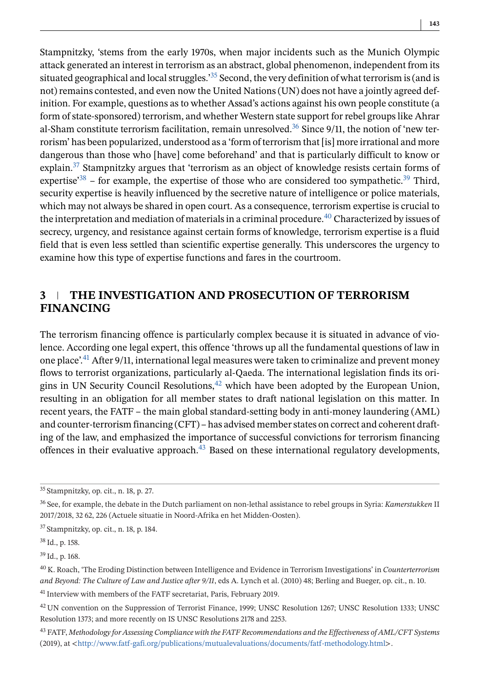Stampnitzky, 'stems from the early 1970s, when major incidents such as the Munich Olympic attack generated an interest in terrorism as an abstract, global phenomenon, independent from its situated geographical and local struggles.<sup>35</sup> Second, the very definition of what terrorism is (and is not) remains contested, and even now the United Nations (UN) does not have a jointly agreed definition. For example, questions as to whether Assad's actions against his own people constitute (a form of state-sponsored) terrorism, and whether Western state support for rebel groups like Ahrar al-Sham constitute terrorism facilitation, remain unresolved.<sup>36</sup> Since  $9/11$ , the notion of 'new terrorism' has been popularized, understood as a 'form of terrorism that [is] more irrational and more dangerous than those who [have] come beforehand' and that is particularly difficult to know or explain.<sup>37</sup> Stampnitzky argues that 'terrorism as an object of knowledge resists certain forms of expertise<sup>338</sup> – for example, the expertise of those who are considered too sympathetic.<sup>39</sup> Third, security expertise is heavily influenced by the secretive nature of intelligence or police materials, which may not always be shared in open court. As a consequence, terrorism expertise is crucial to the interpretation and mediation of materials in a criminal procedure.<sup>40</sup> Characterized by issues of secrecy, urgency, and resistance against certain forms of knowledge, terrorism expertise is a fluid field that is even less settled than scientific expertise generally. This underscores the urgency to examine how this type of expertise functions and fares in the courtroom.

# **3 THE INVESTIGATION AND PROSECUTION OF TERRORISM FINANCING**

The terrorism financing offence is particularly complex because it is situated in advance of violence. According one legal expert, this offence 'throws up all the fundamental questions of law in one place'.41 After 9/11, international legal measures were taken to criminalize and prevent money flows to terrorist organizations, particularly al-Qaeda. The international legislation finds its origins in UN Security Council Resolutions, $42$  which have been adopted by the European Union, resulting in an obligation for all member states to draft national legislation on this matter. In recent years, the FATF – the main global standard-setting body in anti-money laundering (AML) and counter-terrorism financing (CFT) – has advised member states on correct and coherent drafting of the law, and emphasized the importance of successful convictions for terrorism financing offences in their evaluative approach. $43$  Based on these international regulatory developments,

<sup>41</sup> Interview with members of the FATF secretariat, Paris, February 2019.

<sup>35</sup> Stampnitzky, op. cit., n. 18, p. 27.

<sup>36</sup> See, for example, the debate in the Dutch parliament on non-lethal assistance to rebel groups in Syria: *Kamerstukken* II 2017/2018, 32 62, 226 (Actuele situatie in Noord-Afrika en het Midden-Oosten).

<sup>37</sup> Stampnitzky, op. cit., n. 18, p. 184.

<sup>38</sup> Id., p. 158.

<sup>39</sup> Id., p. 168.

<sup>40</sup> K. Roach, 'The Eroding Distinction between Intelligence and Evidence in Terrorism Investigations' in *Counterterrorism and Beyond: The Culture of Law and Justice after 9/11*, eds A. Lynch et al. (2010) 48; Berling and Bueger, op. cit., n. 10.

<sup>42</sup> UN convention on the Suppression of Terrorist Finance, 1999; UNSC Resolution 1267; UNSC Resolution 1333; UNSC Resolution 1373; and more recently on IS UNSC Resolutions 2178 and 2253.

<sup>43</sup> FATF, *Methodology for Assessing Compliance with the FATF Recommendations and the Effectiveness of AML/CFT Systems* (2019), at <<http://www.fatf-gafi.org/publications/mutualevaluations/documents/fatf-methodology.html>>.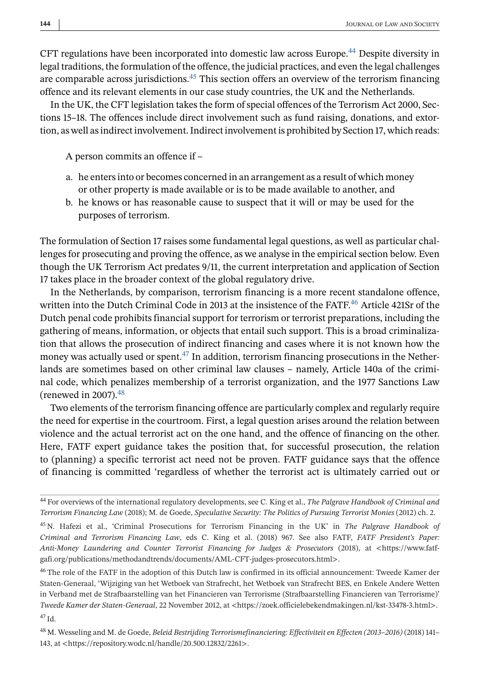CFT regulations have been incorporated into domestic law across Europe.<sup>44</sup> Despite diversity in legal traditions, the formulation of the offence, the judicial practices, and even the legal challenges are comparable across jurisdictions.<sup>45</sup> This section offers an overview of the terrorism financing offence and its relevant elements in our case study countries, the UK and the Netherlands.

In the UK, the CFT legislation takes the form of special offences of the Terrorism Act 2000, Sections 15–18. The offences include direct involvement such as fund raising, donations, and extortion, as well as indirect involvement. Indirect involvement is prohibited by Section 17, which reads:

A person commits an offence if –

- a. he enters into or becomes concerned in an arrangement as a result of which money or other property is made available or is to be made available to another, and
- b. he knows or has reasonable cause to suspect that it will or may be used for the purposes of terrorism.

The formulation of Section 17 raises some fundamental legal questions, as well as particular challenges for prosecuting and proving the offence, as we analyse in the empirical section below. Even though the UK Terrorism Act predates 9/11, the current interpretation and application of Section 17 takes place in the broader context of the global regulatory drive.

In the Netherlands, by comparison, terrorism financing is a more recent standalone offence, written into the Dutch Criminal Code in 2013 at the insistence of the FATF.<sup>46</sup> Article 421Sr of the Dutch penal code prohibits financial support for terrorism or terrorist preparations, including the gathering of means, information, or objects that entail such support. This is a broad criminalization that allows the prosecution of indirect financing and cases where it is not known how the money was actually used or spent.<sup>47</sup> In addition, terrorism financing prosecutions in the Netherlands are sometimes based on other criminal law clauses – namely, Article 140a of the criminal code, which penalizes membership of a terrorist organization, and the 1977 Sanctions Law (renewed in 2007).48

Two elements of the terrorism financing offence are particularly complex and regularly require the need for expertise in the courtroom. First, a legal question arises around the relation between violence and the actual terrorist act on the one hand, and the offence of financing on the other. Here, FATF expert guidance takes the position that, for successful prosecution, the relation to (planning) a specific terrorist act need not be proven. FATF guidance says that the offence of financing is committed 'regardless of whether the terrorist act is ultimately carried out or

<sup>44</sup> For overviews of the international regulatory developments, see C. King et al., *The Palgrave Handbook of Criminal and Terrorism Financing Law* (2018); M. de Goede, *Speculative Security: The Politics of Pursuing Terrorist Monies* (2012) ch. 2.

<sup>45</sup> N. Hafezi et al., 'Criminal Prosecutions for Terrorism Financing in the UK' in *The Palgrave Handbook of Criminal and Terrorism Financing Law*, eds C. King et al. (2018) 967. See also FATF, *FATF President's Paper: Anti-Money Laundering and Counter Terrorist Financing for Judges & Prosecutors* (2018), at <https://www.fatfgafi.org/publications/methodandtrends/documents/AML-CFT-judges-prosecutors.html>.

<sup>46</sup> The role of the FATF in the adoption of this Dutch law is confirmed in its official announcement: Tweede Kamer der Staten-Generaal, 'Wijziging van het Wetboek van Strafrecht, het Wetboek van Strafrecht BES, en Enkele Andere Wetten in Verband met de Strafbaarstelling van het Financieren van Terrorisme (Strafbaarstelling Financieren van Terrorisme)' *Tweede Kamer der Staten-Generaal*, 22 November 2012, at <https://zoek.officielebekendmakingen.nl/kst-33478-3.html>. <sup>47</sup> Id.

<sup>48</sup> M. Wesseling and M. de Goede, *Beleid Bestrijding Terrorismefinanciering: Effectiviteit en Effecten (2013–2016)* (2018) 141– 143, at <https://repository.wodc.nl/handle/20.500.12832/2261>.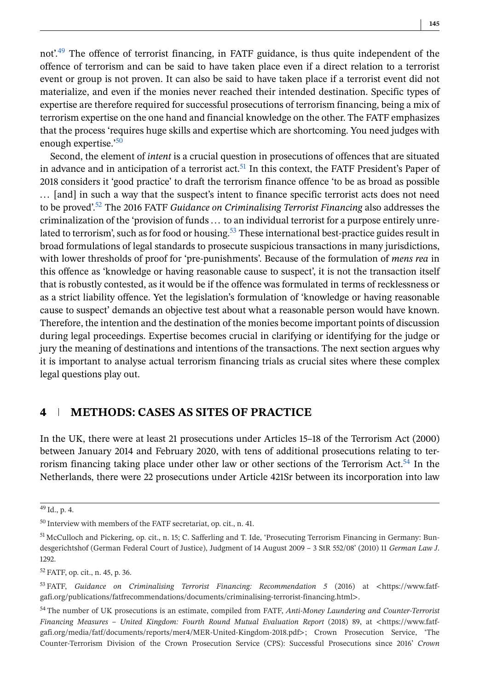not'.<sup>49</sup> The offence of terrorist financing, in FATF guidance, is thus quite independent of the offence of terrorism and can be said to have taken place even if a direct relation to a terrorist event or group is not proven. It can also be said to have taken place if a terrorist event did not materialize, and even if the monies never reached their intended destination. Specific types of expertise are therefore required for successful prosecutions of terrorism financing, being a mix of terrorism expertise on the one hand and financial knowledge on the other. The FATF emphasizes that the process 'requires huge skills and expertise which are shortcoming. You need judges with enough expertise.'<sup>50</sup>

Second, the element of *intent* is a crucial question in prosecutions of offences that are situated in advance and in anticipation of a terrorist act.<sup>51</sup> In this context, the FATF President's Paper of 2018 considers it 'good practice' to draft the terrorism finance offence 'to be as broad as possible ... [and] in such a way that the suspect's intent to finance specific terrorist acts does not need to be proved'.52 The 2016 FATF *Guidance on Criminalising Terrorist Financing* also addresses the criminalization of the 'provision of funds ... to an individual terrorist for a purpose entirely unrelated to terrorism', such as for food or housing.<sup>53</sup> These international best-practice guides result in broad formulations of legal standards to prosecute suspicious transactions in many jurisdictions, with lower thresholds of proof for 'pre-punishments'. Because of the formulation of *mens rea* in this offence as 'knowledge or having reasonable cause to suspect', it is not the transaction itself that is robustly contested, as it would be if the offence was formulated in terms of recklessness or as a strict liability offence. Yet the legislation's formulation of 'knowledge or having reasonable cause to suspect' demands an objective test about what a reasonable person would have known. Therefore, the intention and the destination of the monies become important points of discussion during legal proceedings. Expertise becomes crucial in clarifying or identifying for the judge or jury the meaning of destinations and intentions of the transactions. The next section argues why it is important to analyse actual terrorism financing trials as crucial sites where these complex legal questions play out.

# **4 METHODS: CASES AS SITES OF PRACTICE**

In the UK, there were at least 21 prosecutions under Articles 15–18 of the Terrorism Act (2000) between January 2014 and February 2020, with tens of additional prosecutions relating to terrorism financing taking place under other law or other sections of the Terrorism Act.<sup>54</sup> In the Netherlands, there were 22 prosecutions under Article 421Sr between its incorporation into law

<sup>49</sup> Id., p. 4.

<sup>50</sup> Interview with members of the FATF secretariat, op. cit., n. 41.

<sup>51</sup> McCulloch and Pickering, op. cit., n. 15; C. Safferling and T. Ide, 'Prosecuting Terrorism Financing in Germany: Bundesgerichtshof (German Federal Court of Justice), Judgment of 14 August 2009 – 3 StR 552/08' (2010) 11 *German Law J*. 1292.

<sup>52</sup> FATF, op. cit., n. 45, p. 36.

<sup>53</sup> FATF, *Guidance on Criminalising Terrorist Financing: Recommendation 5* (2016) at <https://www.fatfgafi.org/publications/fatfrecommendations/documents/criminalising-terrorist-financing.html>.

<sup>54</sup> The number of UK prosecutions is an estimate, compiled from FATF, *Anti-Money Laundering and Counter-Terrorist Financing Measures – United Kingdom: Fourth Round Mutual Evaluation Report* (2018) 89, at <https://www.fatfgafi.org/media/fatf/documents/reports/mer4/MER-United-Kingdom-2018.pdf>; Crown Prosecution Service, 'The Counter-Terrorism Division of the Crown Prosecution Service (CPS): Successful Prosecutions since 2016' *Crown*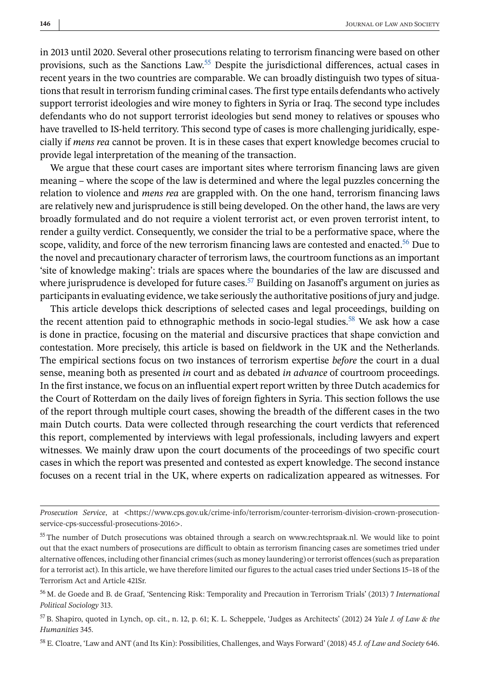in 2013 until 2020. Several other prosecutions relating to terrorism financing were based on other provisions, such as the Sanctions Law.55 Despite the jurisdictional differences, actual cases in recent years in the two countries are comparable. We can broadly distinguish two types of situations that result in terrorism funding criminal cases. The first type entails defendants who actively support terrorist ideologies and wire money to fighters in Syria or Iraq. The second type includes defendants who do not support terrorist ideologies but send money to relatives or spouses who have travelled to IS-held territory. This second type of cases is more challenging juridically, especially if *mens rea* cannot be proven. It is in these cases that expert knowledge becomes crucial to provide legal interpretation of the meaning of the transaction.

We argue that these court cases are important sites where terrorism financing laws are given meaning – where the scope of the law is determined and where the legal puzzles concerning the relation to violence and *mens rea* are grappled with. On the one hand, terrorism financing laws are relatively new and jurisprudence is still being developed. On the other hand, the laws are very broadly formulated and do not require a violent terrorist act, or even proven terrorist intent, to render a guilty verdict. Consequently, we consider the trial to be a performative space, where the scope, validity, and force of the new terrorism financing laws are contested and enacted.<sup>56</sup> Due to the novel and precautionary character of terrorism laws, the courtroom functions as an important 'site of knowledge making': trials are spaces where the boundaries of the law are discussed and where jurisprudence is developed for future cases.<sup>57</sup> Building on Jasanoff's argument on juries as participants in evaluating evidence, we take seriously the authoritative positions of jury and judge.

This article develops thick descriptions of selected cases and legal proceedings, building on the recent attention paid to ethnographic methods in socio-legal studies.<sup>58</sup> We ask how a case is done in practice, focusing on the material and discursive practices that shape conviction and contestation. More precisely, this article is based on fieldwork in the UK and the Netherlands. The empirical sections focus on two instances of terrorism expertise *before* the court in a dual sense, meaning both as presented *in* court and as debated *in advance* of courtroom proceedings. In the first instance, we focus on an influential expert report written by three Dutch academics for the Court of Rotterdam on the daily lives of foreign fighters in Syria. This section follows the use of the report through multiple court cases, showing the breadth of the different cases in the two main Dutch courts. Data were collected through researching the court verdicts that referenced this report, complemented by interviews with legal professionals, including lawyers and expert witnesses. We mainly draw upon the court documents of the proceedings of two specific court cases in which the report was presented and contested as expert knowledge. The second instance focuses on a recent trial in the UK, where experts on radicalization appeared as witnesses. For

*Prosecution Service*, at <https://www.cps.gov.uk/crime-info/terrorism/counter-terrorism-division-crown-prosecutionservice-cps-successful-prosecutions-2016>.

<sup>&</sup>lt;sup>55</sup> The number of Dutch prosecutions was obtained through a search on www.rechtspraak.nl. We would like to point out that the exact numbers of prosecutions are difficult to obtain as terrorism financing cases are sometimes tried under alternative offences, including other financial crimes (such as money laundering) or terrorist offences (such as preparation for a terrorist act). In this article, we have therefore limited our figures to the actual cases tried under Sections 15–18 of the Terrorism Act and Article 421Sr.

<sup>56</sup> M. de Goede and B. de Graaf, 'Sentencing Risk: Temporality and Precaution in Terrorism Trials' (2013) 7 *International Political Sociology* 313.

<sup>57</sup> B. Shapiro, quoted in Lynch, op. cit., n. 12, p. 61; K. L. Scheppele, 'Judges as Architects' (2012) 24 *Yale J. of Law & the Humanities* 345.

<sup>58</sup> E. Cloatre, 'Law and ANT (and Its Kin): Possibilities, Challenges, and Ways Forward' (2018) 45 *J. of Law and Society* 646.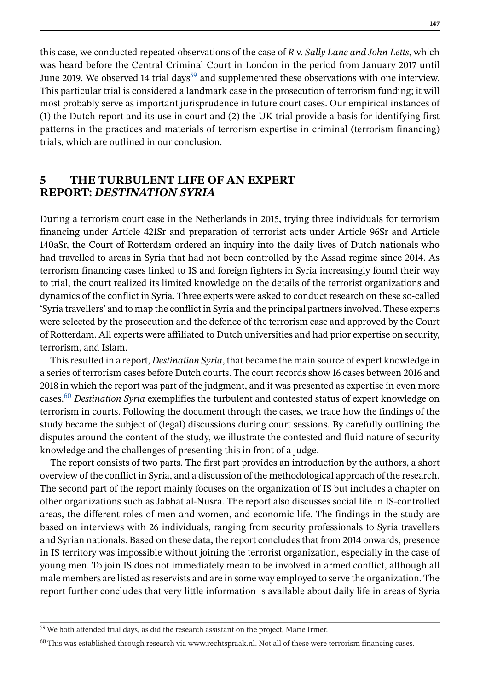this case, we conducted repeated observations of the case of *R* v. *Sally Lane and John Letts*, which was heard before the Central Criminal Court in London in the period from January 2017 until June 2019. We observed 14 trial days<sup>59</sup> and supplemented these observations with one interview. This particular trial is considered a landmark case in the prosecution of terrorism funding; it will most probably serve as important jurisprudence in future court cases. Our empirical instances of (1) the Dutch report and its use in court and (2) the UK trial provide a basis for identifying first patterns in the practices and materials of terrorism expertise in criminal (terrorism financing) trials, which are outlined in our conclusion.

# **5 THE TURBULENT LIFE OF AN EXPERT REPORT:** *DESTINATION SYRIA*

During a terrorism court case in the Netherlands in 2015, trying three individuals for terrorism financing under Article 421Sr and preparation of terrorist acts under Article 96Sr and Article 140aSr, the Court of Rotterdam ordered an inquiry into the daily lives of Dutch nationals who had travelled to areas in Syria that had not been controlled by the Assad regime since 2014. As terrorism financing cases linked to IS and foreign fighters in Syria increasingly found their way to trial, the court realized its limited knowledge on the details of the terrorist organizations and dynamics of the conflict in Syria. Three experts were asked to conduct research on these so-called 'Syria travellers' and to map the conflict in Syria and the principal partners involved. These experts were selected by the prosecution and the defence of the terrorism case and approved by the Court of Rotterdam. All experts were affiliated to Dutch universities and had prior expertise on security, terrorism, and Islam.

This resulted in a report, *Destination Syria*, that became the main source of expert knowledge in a series of terrorism cases before Dutch courts. The court records show 16 cases between 2016 and 2018 in which the report was part of the judgment, and it was presented as expertise in even more cases.<sup>60</sup> *Destination Syria* exemplifies the turbulent and contested status of expert knowledge on terrorism in courts. Following the document through the cases, we trace how the findings of the study became the subject of (legal) discussions during court sessions. By carefully outlining the disputes around the content of the study, we illustrate the contested and fluid nature of security knowledge and the challenges of presenting this in front of a judge.

The report consists of two parts. The first part provides an introduction by the authors, a short overview of the conflict in Syria, and a discussion of the methodological approach of the research. The second part of the report mainly focuses on the organization of IS but includes a chapter on other organizations such as Jabhat al-Nusra. The report also discusses social life in IS-controlled areas, the different roles of men and women, and economic life. The findings in the study are based on interviews with 26 individuals, ranging from security professionals to Syria travellers and Syrian nationals. Based on these data, the report concludes that from 2014 onwards, presence in IS territory was impossible without joining the terrorist organization, especially in the case of young men. To join IS does not immediately mean to be involved in armed conflict, although all male members are listed as reservists and are in some way employed to serve the organization. The report further concludes that very little information is available about daily life in areas of Syria

<sup>&</sup>lt;sup>59</sup> We both attended trial days, as did the research assistant on the project, Marie Irmer.

<sup>&</sup>lt;sup>60</sup> This was established through research via www.rechtspraak.nl. Not all of these were terrorism financing cases.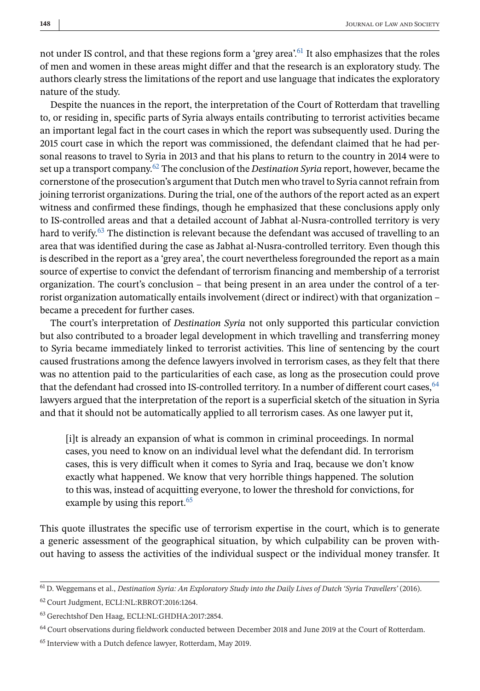not under IS control, and that these regions form a 'grey area'.<sup>61</sup> It also emphasizes that the roles of men and women in these areas might differ and that the research is an exploratory study. The authors clearly stress the limitations of the report and use language that indicates the exploratory nature of the study.

Despite the nuances in the report, the interpretation of the Court of Rotterdam that travelling to, or residing in, specific parts of Syria always entails contributing to terrorist activities became an important legal fact in the court cases in which the report was subsequently used. During the 2015 court case in which the report was commissioned, the defendant claimed that he had personal reasons to travel to Syria in 2013 and that his plans to return to the country in 2014 were to set up a transport company.<sup>62</sup> The conclusion of the *Destination Syria* report, however, became the cornerstone of the prosecution's argument that Dutch men who travel to Syria cannot refrain from joining terrorist organizations. During the trial, one of the authors of the report acted as an expert witness and confirmed these findings, though he emphasized that these conclusions apply only to IS-controlled areas and that a detailed account of Jabhat al-Nusra-controlled territory is very hard to verify.<sup>63</sup> The distinction is relevant because the defendant was accused of travelling to an area that was identified during the case as Jabhat al-Nusra-controlled territory. Even though this is described in the report as a 'grey area', the court nevertheless foregrounded the report as a main source of expertise to convict the defendant of terrorism financing and membership of a terrorist organization. The court's conclusion – that being present in an area under the control of a terrorist organization automatically entails involvement (direct or indirect) with that organization – became a precedent for further cases.

The court's interpretation of *Destination Syria* not only supported this particular conviction but also contributed to a broader legal development in which travelling and transferring money to Syria became immediately linked to terrorist activities. This line of sentencing by the court caused frustrations among the defence lawyers involved in terrorism cases, as they felt that there was no attention paid to the particularities of each case, as long as the prosecution could prove that the defendant had crossed into IS-controlled territory. In a number of different court cases,  $64$ lawyers argued that the interpretation of the report is a superficial sketch of the situation in Syria and that it should not be automatically applied to all terrorism cases. As one lawyer put it,

[i]t is already an expansion of what is common in criminal proceedings. In normal cases, you need to know on an individual level what the defendant did. In terrorism cases, this is very difficult when it comes to Syria and Iraq, because we don't know exactly what happened. We know that very horrible things happened. The solution to this was, instead of acquitting everyone, to lower the threshold for convictions, for example by using this report.<sup>65</sup>

This quote illustrates the specific use of terrorism expertise in the court, which is to generate a generic assessment of the geographical situation, by which culpability can be proven without having to assess the activities of the individual suspect or the individual money transfer. It

<sup>61</sup> D. Weggemans et al., *Destination Syria: An Exploratory Study into the Daily Lives of Dutch 'Syria Travellers'* (2016).

<sup>62</sup> Court Judgment, ECLI:NL:RBROT:2016:1264.

<sup>63</sup> Gerechtshof Den Haag, ECLI:NL:GHDHA:2017:2854.

<sup>64</sup> Court observations during fieldwork conducted between December 2018 and June 2019 at the Court of Rotterdam.

<sup>65</sup> Interview with a Dutch defence lawyer, Rotterdam, May 2019.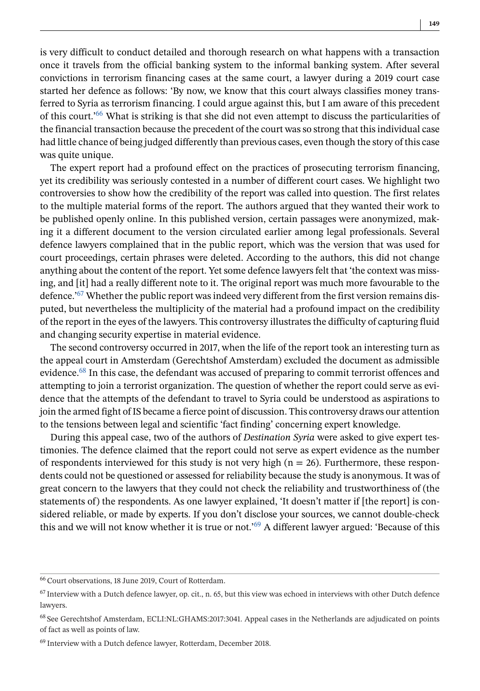is very difficult to conduct detailed and thorough research on what happens with a transaction once it travels from the official banking system to the informal banking system. After several convictions in terrorism financing cases at the same court, a lawyer during a 2019 court case started her defence as follows: 'By now, we know that this court always classifies money transferred to Syria as terrorism financing. I could argue against this, but I am aware of this precedent of this court.'66 What is striking is that she did not even attempt to discuss the particularities of the financial transaction because the precedent of the court was so strong that this individual case had little chance of being judged differently than previous cases, even though the story of this case was quite unique.

The expert report had a profound effect on the practices of prosecuting terrorism financing, yet its credibility was seriously contested in a number of different court cases. We highlight two controversies to show how the credibility of the report was called into question. The first relates to the multiple material forms of the report. The authors argued that they wanted their work to be published openly online. In this published version, certain passages were anonymized, making it a different document to the version circulated earlier among legal professionals. Several defence lawyers complained that in the public report, which was the version that was used for court proceedings, certain phrases were deleted. According to the authors, this did not change anything about the content of the report. Yet some defence lawyers felt that 'the context was missing, and [it] had a really different note to it. The original report was much more favourable to the defence.<sup> $67$ </sup> Whether the public report was indeed very different from the first version remains disputed, but nevertheless the multiplicity of the material had a profound impact on the credibility of the report in the eyes of the lawyers. This controversy illustrates the difficulty of capturing fluid and changing security expertise in material evidence.

The second controversy occurred in 2017, when the life of the report took an interesting turn as the appeal court in Amsterdam (Gerechtshof Amsterdam) excluded the document as admissible evidence.<sup>68</sup> In this case, the defendant was accused of preparing to commit terrorist offences and attempting to join a terrorist organization. The question of whether the report could serve as evidence that the attempts of the defendant to travel to Syria could be understood as aspirations to join the armed fight of IS became a fierce point of discussion. This controversy draws our attention to the tensions between legal and scientific 'fact finding' concerning expert knowledge.

During this appeal case, two of the authors of *Destination Syria* were asked to give expert testimonies. The defence claimed that the report could not serve as expert evidence as the number of respondents interviewed for this study is not very high ( $n = 26$ ). Furthermore, these respondents could not be questioned or assessed for reliability because the study is anonymous. It was of great concern to the lawyers that they could not check the reliability and trustworthiness of (the statements of) the respondents. As one lawyer explained, 'It doesn't matter if [the report] is considered reliable, or made by experts. If you don't disclose your sources, we cannot double-check this and we will not know whether it is true or not.'<sup>69</sup> A different lawyer argued: 'Because of this

<sup>66</sup> Court observations, 18 June 2019, Court of Rotterdam.

 $<sup>67</sup>$  Interview with a Dutch defence lawyer, op. cit., n. 65, but this view was echoed in interviews with other Dutch defence</sup> lawyers.

<sup>68</sup> See Gerechtshof Amsterdam, ECLI:NL:GHAMS:2017:3041. Appeal cases in the Netherlands are adjudicated on points of fact as well as points of law.

<sup>&</sup>lt;sup>69</sup> Interview with a Dutch defence lawyer, Rotterdam, December 2018.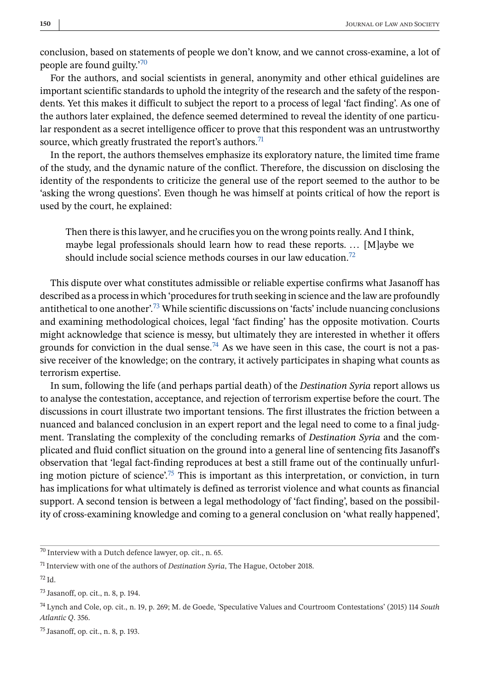conclusion, based on statements of people we don't know, and we cannot cross-examine, a lot of people are found guilty.'<sup>70</sup>

For the authors, and social scientists in general, anonymity and other ethical guidelines are important scientific standards to uphold the integrity of the research and the safety of the respondents. Yet this makes it difficult to subject the report to a process of legal 'fact finding'. As one of the authors later explained, the defence seemed determined to reveal the identity of one particular respondent as a secret intelligence officer to prove that this respondent was an untrustworthy source, which greatly frustrated the report's authors.<sup>71</sup>

In the report, the authors themselves emphasize its exploratory nature, the limited time frame of the study, and the dynamic nature of the conflict. Therefore, the discussion on disclosing the identity of the respondents to criticize the general use of the report seemed to the author to be 'asking the wrong questions'. Even though he was himself at points critical of how the report is used by the court, he explained:

Then there is this lawyer, and he crucifies you on the wrong points really. And I think, maybe legal professionals should learn how to read these reports. ... [M]aybe we should include social science methods courses in our law education.<sup>72</sup>

This dispute over what constitutes admissible or reliable expertise confirms what Jasanoff has described as a process in which 'procedures for truth seeking in science and the law are profoundly antithetical to one another<sup>'.73</sup> While scientific discussions on 'facts' include nuancing conclusions and examining methodological choices, legal 'fact finding' has the opposite motivation. Courts might acknowledge that science is messy, but ultimately they are interested in whether it offers grounds for conviction in the dual sense.<sup>74</sup> As we have seen in this case, the court is not a passive receiver of the knowledge; on the contrary, it actively participates in shaping what counts as terrorism expertise.

In sum, following the life (and perhaps partial death) of the *Destination Syria* report allows us to analyse the contestation, acceptance, and rejection of terrorism expertise before the court. The discussions in court illustrate two important tensions. The first illustrates the friction between a nuanced and balanced conclusion in an expert report and the legal need to come to a final judgment. Translating the complexity of the concluding remarks of *Destination Syria* and the complicated and fluid conflict situation on the ground into a general line of sentencing fits Jasanoff's observation that 'legal fact-finding reproduces at best a still frame out of the continually unfurling motion picture of science'.<sup>75</sup> This is important as this interpretation, or conviction, in turn has implications for what ultimately is defined as terrorist violence and what counts as financial support. A second tension is between a legal methodology of 'fact finding', based on the possibility of cross-examining knowledge and coming to a general conclusion on 'what really happened',

<sup>75</sup> Jasanoff, op. cit., n. 8, p. 193.

<sup>70</sup> Interview with a Dutch defence lawyer, op. cit., n. 65.

<sup>71</sup> Interview with one of the authors of *Destination Syria*, The Hague, October 2018.

 $72$  Id.

<sup>73</sup> Jasanoff, op. cit., n. 8, p. 194.

<sup>74</sup> Lynch and Cole, op. cit., n. 19, p. 269; M. de Goede, 'Speculative Values and Courtroom Contestations' (2015) 114 *South Atlantic Q*. 356.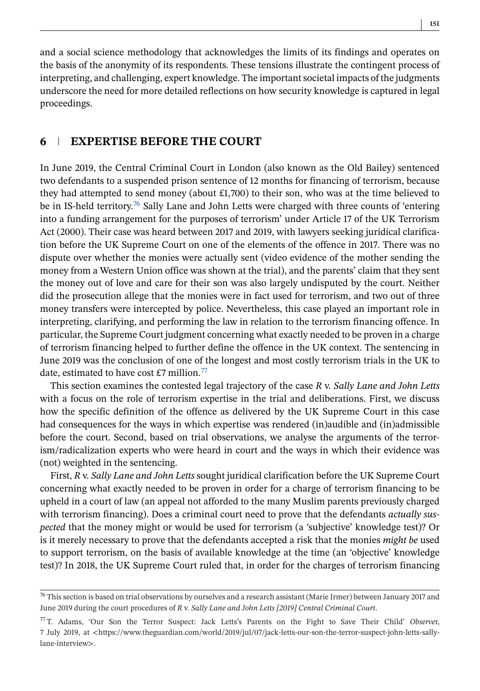and a social science methodology that acknowledges the limits of its findings and operates on the basis of the anonymity of its respondents. These tensions illustrate the contingent process of interpreting, and challenging, expert knowledge. The important societal impacts of the judgments underscore the need for more detailed reflections on how security knowledge is captured in legal proceedings.

#### **6 EXPERTISE BEFORE THE COURT**

In June 2019, the Central Criminal Court in London (also known as the Old Bailey) sentenced two defendants to a suspended prison sentence of 12 months for financing of terrorism, because they had attempted to send money (about £1,700) to their son, who was at the time believed to be in IS-held territory.<sup>76</sup> Sally Lane and John Letts were charged with three counts of 'entering into a funding arrangement for the purposes of terrorism' under Article 17 of the UK Terrorism Act (2000). Their case was heard between 2017 and 2019, with lawyers seeking juridical clarification before the UK Supreme Court on one of the elements of the offence in 2017. There was no dispute over whether the monies were actually sent (video evidence of the mother sending the money from a Western Union office was shown at the trial), and the parents' claim that they sent the money out of love and care for their son was also largely undisputed by the court. Neither did the prosecution allege that the monies were in fact used for terrorism, and two out of three money transfers were intercepted by police. Nevertheless, this case played an important role in interpreting, clarifying, and performing the law in relation to the terrorism financing offence. In particular, the Supreme Court judgment concerning what exactly needed to be proven in a charge of terrorism financing helped to further define the offence in the UK context. The sentencing in June 2019 was the conclusion of one of the longest and most costly terrorism trials in the UK to date, estimated to have cost £7 million.<sup>77</sup>

This section examines the contested legal trajectory of the case *R* v. *Sally Lane and John Letts* with a focus on the role of terrorism expertise in the trial and deliberations. First, we discuss how the specific definition of the offence as delivered by the UK Supreme Court in this case had consequences for the ways in which expertise was rendered (in)audible and (in)admissible before the court. Second, based on trial observations, we analyse the arguments of the terrorism/radicalization experts who were heard in court and the ways in which their evidence was (not) weighted in the sentencing.

First, *R* v. *Sally Lane and John Letts* sought juridical clarification before the UK Supreme Court concerning what exactly needed to be proven in order for a charge of terrorism financing to be upheld in a court of law (an appeal not afforded to the many Muslim parents previously charged with terrorism financing). Does a criminal court need to prove that the defendants *actually suspected* that the money might or would be used for terrorism (a 'subjective' knowledge test)? Or is it merely necessary to prove that the defendants accepted a risk that the monies *might be* used to support terrorism, on the basis of available knowledge at the time (an 'objective' knowledge test)? In 2018, the UK Supreme Court ruled that, in order for the charges of terrorism financing

 $76$  This section is based on trial observations by ourselves and a research assistant (Marie Irmer) between January 2017 and June 2019 during the court procedures of *R* v. *Sally Lane and John Letts [2019] Central Criminal Court*.

<sup>77</sup> T. Adams, 'Our Son the Terror Suspect: Jack Letts's Parents on the Fight to Save Their Child' *Observe*r, 7 July 2019, at <https://www.theguardian.com/world/2019/jul/07/jack-letts-our-son-the-terror-suspect-john-letts-sallylane-interview>.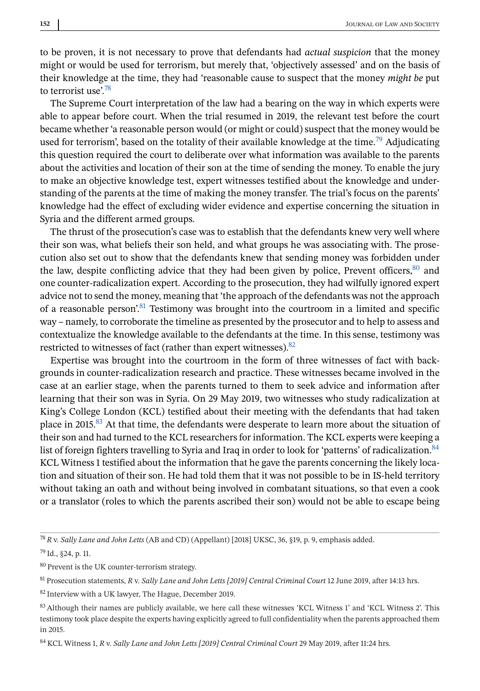to be proven, it is not necessary to prove that defendants had *actual suspicion* that the money might or would be used for terrorism, but merely that, 'objectively assessed' and on the basis of their knowledge at the time, they had 'reasonable cause to suspect that the money *might be* put to terrorist use'.<sup>78</sup>

The Supreme Court interpretation of the law had a bearing on the way in which experts were able to appear before court. When the trial resumed in 2019, the relevant test before the court became whether 'a reasonable person would (or might or could) suspect that the money would be used for terrorism', based on the totality of their available knowledge at the time.<sup>79</sup> Adjudicating this question required the court to deliberate over what information was available to the parents about the activities and location of their son at the time of sending the money. To enable the jury to make an objective knowledge test, expert witnesses testified about the knowledge and understanding of the parents at the time of making the money transfer. The trial's focus on the parents' knowledge had the effect of excluding wider evidence and expertise concerning the situation in Syria and the different armed groups.

The thrust of the prosecution's case was to establish that the defendants knew very well where their son was, what beliefs their son held, and what groups he was associating with. The prosecution also set out to show that the defendants knew that sending money was forbidden under the law, despite conflicting advice that they had been given by police, Prevent officers,  $80$  and one counter-radicalization expert. According to the prosecution, they had wilfully ignored expert advice not to send the money, meaning that 'the approach of the defendants was not the approach of a reasonable person'.<sup>81</sup> Testimony was brought into the courtroom in a limited and specific way – namely, to corroborate the timeline as presented by the prosecutor and to help to assess and contextualize the knowledge available to the defendants at the time. In this sense, testimony was restricted to witnesses of fact (rather than expert witnesses).<sup>82</sup>

Expertise was brought into the courtroom in the form of three witnesses of fact with backgrounds in counter-radicalization research and practice. These witnesses became involved in the case at an earlier stage, when the parents turned to them to seek advice and information after learning that their son was in Syria. On 29 May 2019, two witnesses who study radicalization at King's College London (KCL) testified about their meeting with the defendants that had taken place in 2015.<sup>83</sup> At that time, the defendants were desperate to learn more about the situation of their son and had turned to the KCL researchers for information. The KCL experts were keeping a list of foreign fighters travelling to Syria and Iraq in order to look for 'patterns' of radicalization. 84 KCL Witness 1 testified about the information that he gave the parents concerning the likely location and situation of their son. He had told them that it was not possible to be in IS-held territory without taking an oath and without being involved in combatant situations, so that even a cook or a translator (roles to which the parents ascribed their son) would not be able to escape being

<sup>78</sup> *R* v. *Sally Lane and John Letts* (AB and CD) (Appellant) [2018] UKSC, 36, §19, p. 9, emphasis added.

 $^{79}$  Id., §24, p. 11.

<sup>80</sup> Prevent is the UK counter-terrorism strategy.

<sup>81</sup> Prosecution statements, *R* v. *Sally Lane and John Letts [2019] Central Criminal Court* 12 June 2019, after 14:13 hrs.

<sup>82</sup> Interview with a UK lawyer, The Hague, December 2019.

<sup>83</sup> Although their names are publicly available, we here call these witnesses 'KCL Witness 1' and 'KCL Witness 2'. This testimony took place despite the experts having explicitly agreed to full confidentiality when the parents approached them in 2015.

<sup>84</sup> KCL Witness 1, *R* v. *Sally Lane and John Letts [2019] Central Criminal Court* 29 May 2019, after 11:24 hrs.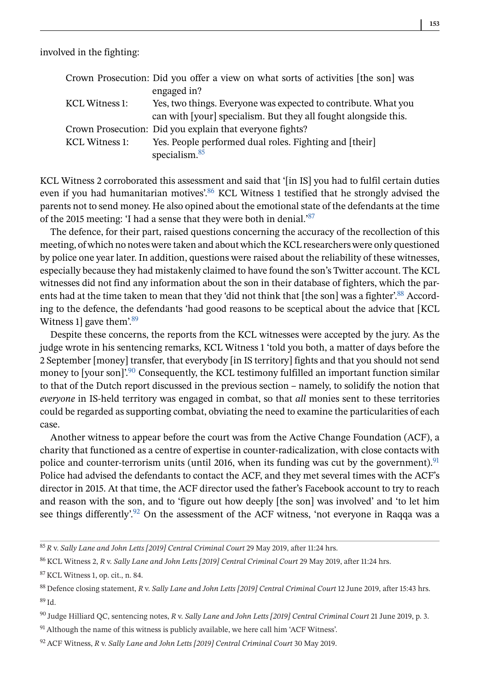involved in the fighting:

|                | Crown Prosecution: Did you offer a view on what sorts of activities [the son] was |
|----------------|-----------------------------------------------------------------------------------|
|                | engaged in?                                                                       |
| KCL Witness 1: | Yes, two things. Everyone was expected to contribute. What you                    |
|                | can with [your] specialism. But they all fought alongside this.                   |
|                | Crown Prosecution: Did you explain that everyone fights?                          |
| KCL Witness 1: | Yes. People performed dual roles. Fighting and [their]                            |
|                | specialism. $85$                                                                  |

KCL Witness 2 corroborated this assessment and said that '[in IS] you had to fulfil certain duties even if you had humanitarian motives'.<sup>86</sup> KCL Witness 1 testified that he strongly advised the parents not to send money. He also opined about the emotional state of the defendants at the time of the 2015 meeting: 'I had a sense that they were both in denial.'87

The defence, for their part, raised questions concerning the accuracy of the recollection of this meeting, of which no notes were taken and about which the KCL researchers were only questioned by police one year later. In addition, questions were raised about the reliability of these witnesses, especially because they had mistakenly claimed to have found the son's Twitter account. The KCL witnesses did not find any information about the son in their database of fighters, which the parents had at the time taken to mean that they 'did not think that [the son] was a fighter'.<sup>88</sup> According to the defence, the defendants 'had good reasons to be sceptical about the advice that [KCL Witness 1 gave them'. $89$ 

Despite these concerns, the reports from the KCL witnesses were accepted by the jury. As the judge wrote in his sentencing remarks, KCL Witness 1 'told you both, a matter of days before the 2 September [money] transfer, that everybody [in IS territory] fights and that you should not send money to [your son]'.<sup>90</sup> Consequently, the KCL testimony fulfilled an important function similar to that of the Dutch report discussed in the previous section – namely, to solidify the notion that *everyone* in IS-held territory was engaged in combat, so that *all* monies sent to these territories could be regarded as supporting combat, obviating the need to examine the particularities of each case.

Another witness to appear before the court was from the Active Change Foundation (ACF), a charity that functioned as a centre of expertise in counter-radicalization, with close contacts with police and counter-terrorism units (until 2016, when its funding was cut by the government).  $91$ Police had advised the defendants to contact the ACF, and they met several times with the ACF's director in 2015. At that time, the ACF director used the father's Facebook account to try to reach and reason with the son, and to 'figure out how deeply [the son] was involved' and 'to let him see things differently<sup>'.92</sup> On the assessment of the ACF witness, 'not everyone in Raqqa was a

<sup>85</sup> *R* v. *Sally Lane and John Letts [2019] Central Criminal Court* 29 May 2019, after 11:24 hrs.

<sup>86</sup> KCL Witness 2, *R* v. *Sally Lane and John Letts [2019] Central Criminal Court* 29 May 2019, after 11:24 hrs.

<sup>87</sup> KCL Witness 1, op. cit., n. 84.

<sup>88</sup> Defence closing statement, *R* v. *Sally Lane and John Letts [2019] Central Criminal Court* 12 June 2019, after 15:43 hrs. <sup>89</sup> Id.

<sup>90</sup> Judge Hilliard QC, sentencing notes, *R* v. *Sally Lane and John Letts [2019] Central Criminal Court* 21 June 2019, p. 3.

<sup>&</sup>lt;sup>91</sup> Although the name of this witness is publicly available, we here call him 'ACF Witness'.

<sup>92</sup> ACF Witness, *R* v. *Sally Lane and John Letts [2019] Central Criminal Court* 30 May 2019.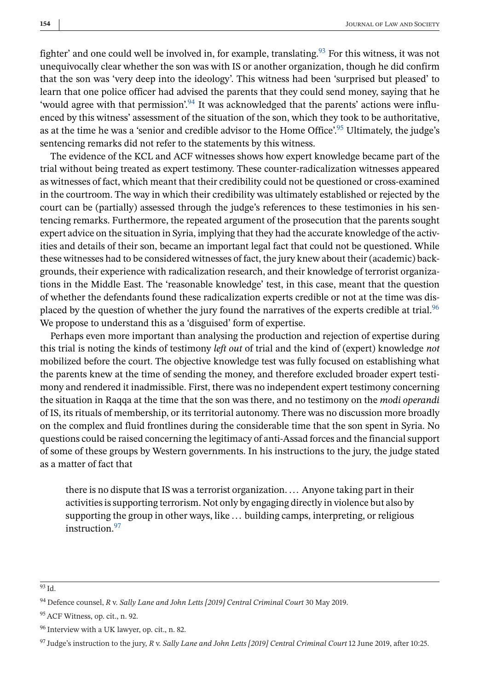fighter' and one could well be involved in, for example, translating.<sup>93</sup> For this witness, it was not unequivocally clear whether the son was with IS or another organization, though he did confirm that the son was 'very deep into the ideology'. This witness had been 'surprised but pleased' to learn that one police officer had advised the parents that they could send money, saying that he 'would agree with that permission'.<sup>94</sup> It was acknowledged that the parents' actions were influenced by this witness' assessment of the situation of the son, which they took to be authoritative, as at the time he was a 'senior and credible advisor to the Home Office'.<sup>95</sup> Ultimately, the judge's sentencing remarks did not refer to the statements by this witness.

The evidence of the KCL and ACF witnesses shows how expert knowledge became part of the trial without being treated as expert testimony. These counter-radicalization witnesses appeared as witnesses of fact, which meant that their credibility could not be questioned or cross-examined in the courtroom. The way in which their credibility was ultimately established or rejected by the court can be (partially) assessed through the judge's references to these testimonies in his sentencing remarks. Furthermore, the repeated argument of the prosecution that the parents sought expert advice on the situation in Syria, implying that they had the accurate knowledge of the activities and details of their son, became an important legal fact that could not be questioned. While these witnesses had to be considered witnesses of fact, the jury knew about their (academic) backgrounds, their experience with radicalization research, and their knowledge of terrorist organizations in the Middle East. The 'reasonable knowledge' test, in this case, meant that the question of whether the defendants found these radicalization experts credible or not at the time was displaced by the question of whether the jury found the narratives of the experts credible at trial.<sup>96</sup> We propose to understand this as a 'disguised' form of expertise.

Perhaps even more important than analysing the production and rejection of expertise during this trial is noting the kinds of testimony *left out* of trial and the kind of (expert) knowledge *not* mobilized before the court. The objective knowledge test was fully focused on establishing what the parents knew at the time of sending the money, and therefore excluded broader expert testimony and rendered it inadmissible. First, there was no independent expert testimony concerning the situation in Raqqa at the time that the son was there, and no testimony on the *modi operandi* of IS, its rituals of membership, or its territorial autonomy. There was no discussion more broadly on the complex and fluid frontlines during the considerable time that the son spent in Syria. No questions could be raised concerning the legitimacy of anti-Assad forces and the financial support of some of these groups by Western governments. In his instructions to the jury, the judge stated as a matter of fact that

there is no dispute that IS was a terrorist organization. ... Anyone taking part in their activities is supporting terrorism. Not only by engaging directly in violence but also by supporting the group in other ways, like ... building camps, interpreting, or religious instruction.<sup>97</sup>

<sup>93</sup> Id.

<sup>94</sup> Defence counsel, *R* v. *Sally Lane and John Letts [2019] Central Criminal Court* 30 May 2019.

<sup>95</sup> ACF Witness, op. cit., n. 92.

<sup>96</sup> Interview with a UK lawyer, op. cit., n. 82.

<sup>97</sup> Judge's instruction to the jury, *R* v. *Sally Lane and John Letts [2019] Central Criminal Court* 12 June 2019, after 10:25.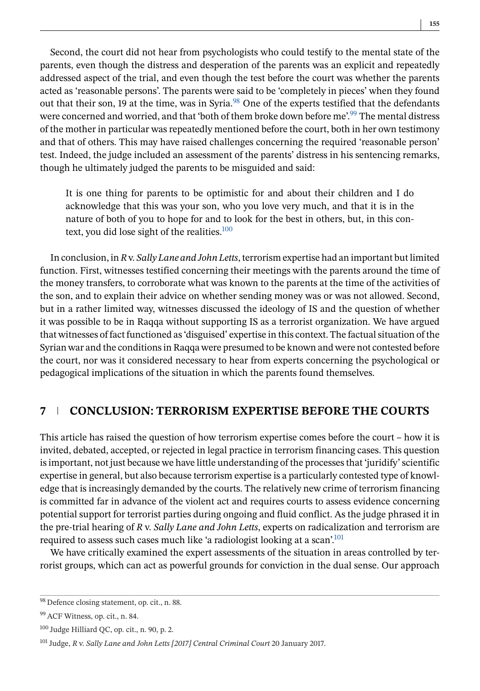Second, the court did not hear from psychologists who could testify to the mental state of the parents, even though the distress and desperation of the parents was an explicit and repeatedly addressed aspect of the trial, and even though the test before the court was whether the parents acted as 'reasonable persons'. The parents were said to be 'completely in pieces' when they found out that their son, 19 at the time, was in Syria. $98$  One of the experts testified that the defendants were concerned and worried, and that 'both of them broke down before me'.<sup>99</sup> The mental distress of the mother in particular was repeatedly mentioned before the court, both in her own testimony and that of others. This may have raised challenges concerning the required 'reasonable person' test. Indeed, the judge included an assessment of the parents' distress in his sentencing remarks, though he ultimately judged the parents to be misguided and said:

It is one thing for parents to be optimistic for and about their children and I do acknowledge that this was your son, who you love very much, and that it is in the nature of both of you to hope for and to look for the best in others, but, in this context, you did lose sight of the realities. $100$ 

In conclusion, in *R* v. *Sally Lane and John Letts*, terrorism expertise had an important but limited function. First, witnesses testified concerning their meetings with the parents around the time of the money transfers, to corroborate what was known to the parents at the time of the activities of the son, and to explain their advice on whether sending money was or was not allowed. Second, but in a rather limited way, witnesses discussed the ideology of IS and the question of whether it was possible to be in Raqqa without supporting IS as a terrorist organization. We have argued that witnesses of fact functioned as 'disguised' expertise in this context. The factual situation of the Syrian war and the conditions in Raqqa were presumed to be known and were not contested before the court, nor was it considered necessary to hear from experts concerning the psychological or pedagogical implications of the situation in which the parents found themselves.

### **7 CONCLUSION: TERRORISM EXPERTISE BEFORE THE COURTS**

This article has raised the question of how terrorism expertise comes before the court – how it is invited, debated, accepted, or rejected in legal practice in terrorism financing cases. This question is important, not just because we have little understanding of the processes that 'juridify' scientific expertise in general, but also because terrorism expertise is a particularly contested type of knowledge that is increasingly demanded by the courts. The relatively new crime of terrorism financing is committed far in advance of the violent act and requires courts to assess evidence concerning potential support for terrorist parties during ongoing and fluid conflict. As the judge phrased it in the pre-trial hearing of *R* v. *Sally Lane and John Letts*, experts on radicalization and terrorism are required to assess such cases much like 'a radiologist looking at a scan'.<sup>101</sup>

We have critically examined the expert assessments of the situation in areas controlled by terrorist groups, which can act as powerful grounds for conviction in the dual sense. Our approach

<sup>98</sup> Defence closing statement, op. cit., n. 88.

<sup>99</sup> ACF Witness, op. cit., n. 84.

<sup>100</sup> Judge Hilliard QC, op. cit., n. 90, p. 2.

<sup>&</sup>lt;sup>101</sup> Judge, *R* v. *Sally Lane and John Letts [2017] Central Criminal Court* 20 January 2017.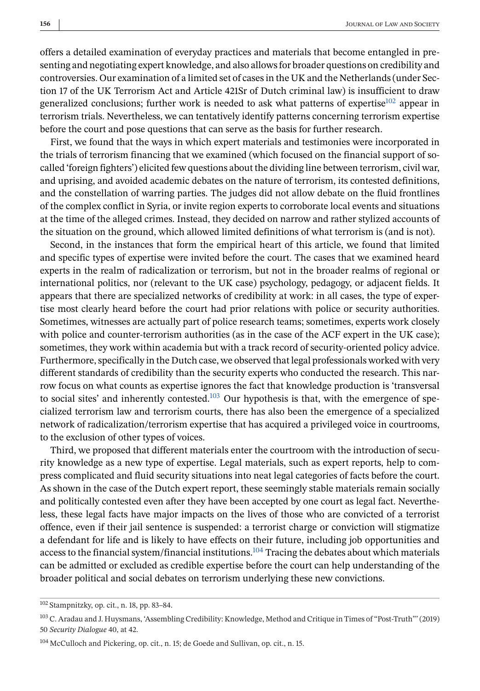offers a detailed examination of everyday practices and materials that become entangled in presenting and negotiating expert knowledge, and also allows for broader questions on credibility and controversies. Our examination of a limited set of cases in the UK and the Netherlands (under Section 17 of the UK Terrorism Act and Article 421Sr of Dutch criminal law) is insufficient to draw generalized conclusions; further work is needed to ask what patterns of expertise $102$  appear in terrorism trials. Nevertheless, we can tentatively identify patterns concerning terrorism expertise before the court and pose questions that can serve as the basis for further research.

First, we found that the ways in which expert materials and testimonies were incorporated in the trials of terrorism financing that we examined (which focused on the financial support of socalled 'foreign fighters') elicited few questions about the dividing line between terrorism, civil war, and uprising, and avoided academic debates on the nature of terrorism, its contested definitions, and the constellation of warring parties. The judges did not allow debate on the fluid frontlines of the complex conflict in Syria, or invite region experts to corroborate local events and situations at the time of the alleged crimes. Instead, they decided on narrow and rather stylized accounts of the situation on the ground, which allowed limited definitions of what terrorism is (and is not).

Second, in the instances that form the empirical heart of this article, we found that limited and specific types of expertise were invited before the court. The cases that we examined heard experts in the realm of radicalization or terrorism, but not in the broader realms of regional or international politics, nor (relevant to the UK case) psychology, pedagogy, or adjacent fields. It appears that there are specialized networks of credibility at work: in all cases, the type of expertise most clearly heard before the court had prior relations with police or security authorities. Sometimes, witnesses are actually part of police research teams; sometimes, experts work closely with police and counter-terrorism authorities (as in the case of the ACF expert in the UK case); sometimes, they work within academia but with a track record of security-oriented policy advice. Furthermore, specifically in the Dutch case, we observed that legal professionals worked with very different standards of credibility than the security experts who conducted the research. This narrow focus on what counts as expertise ignores the fact that knowledge production is 'transversal to social sites' and inherently contested.<sup>103</sup> Our hypothesis is that, with the emergence of specialized terrorism law and terrorism courts, there has also been the emergence of a specialized network of radicalization/terrorism expertise that has acquired a privileged voice in courtrooms, to the exclusion of other types of voices.

Third, we proposed that different materials enter the courtroom with the introduction of security knowledge as a new type of expertise. Legal materials, such as expert reports, help to compress complicated and fluid security situations into neat legal categories of facts before the court. As shown in the case of the Dutch expert report, these seemingly stable materials remain socially and politically contested even after they have been accepted by one court as legal fact. Nevertheless, these legal facts have major impacts on the lives of those who are convicted of a terrorist offence, even if their jail sentence is suspended: a terrorist charge or conviction will stigmatize a defendant for life and is likely to have effects on their future, including job opportunities and access to the financial system/financial institutions.<sup>104</sup> Tracing the debates about which materials can be admitted or excluded as credible expertise before the court can help understanding of the broader political and social debates on terrorism underlying these new convictions.

<sup>102</sup> Stampnitzky, op. cit., n. 18, pp. 83–84.

<sup>103</sup> C. Aradau and J. Huysmans, 'Assembling Credibility: Knowledge, Method and Critique in Times of "Post-Truth"' (2019) 50 *Security Dialogue* 40, at 42.

<sup>&</sup>lt;sup>104</sup> McCulloch and Pickering, op. cit., n. 15; de Goede and Sullivan, op. cit., n. 15.